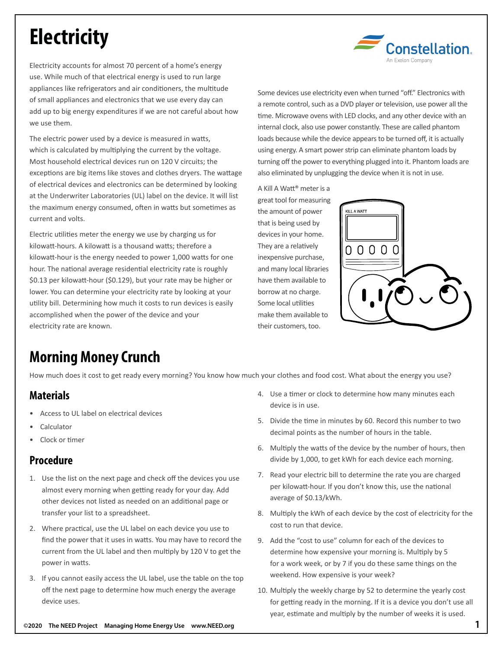# **Electricity**



Electricity accounts for almost 70 percent of a home's energy use. While much of that electrical energy is used to run large appliances like refrigerators and air conditioners, the multitude of small appliances and electronics that we use every day can add up to big energy expenditures if we are not careful about how we use them.

The electric power used by a device is measured in watts, which is calculated by multiplying the current by the voltage. Most household electrical devices run on 120 V circuits; the exceptions are big items like stoves and clothes dryers. The wattage of electrical devices and electronics can be determined by looking at the Underwriter Laboratories (UL) label on the device. It will list the maximum energy consumed, often in watts but sometimes as current and volts.

Electric utilities meter the energy we use by charging us for kilowatt-hours. A kilowatt is a thousand watts; therefore a kilowatt-hour is the energy needed to power 1,000 watts for one hour. The national average residential electricity rate is roughly \$0.13 per kilowatt-hour (\$0.129), but your rate may be higher or lower. You can determine your electricity rate by looking at your utility bill. Determining how much it costs to run devices is easily accomplished when the power of the device and your electricity rate are known.

Some devices use electricity even when turned "off." Electronics with a remote control, such as a DVD player or television, use power all the time. Microwave ovens with LED clocks, and any other device with an internal clock, also use power constantly. These are called phantom loads because while the device appears to be turned off, it is actually using energy. A smart power strip can eliminate phantom loads by turning off the power to everything plugged into it. Phantom loads are also eliminated by unplugging the device when it is not in use.

A Kill A Watt® meter is a great tool for measuring the amount of power that is being used by devices in your home. They are a relatively inexpensive purchase, and many local libraries have them available to borrow at no charge. Some local utilities make them available to their customers, too.



## **Morning Money Crunch**

How much does it cost to get ready every morning? You know how much your clothes and food cost. What about the energy you use?

#### **Materials**

- Access to UL label on electrical devices
- Calculator
- Clock or timer

#### **Procedure**

- 1. Use the list on the next page and check off the devices you use almost every morning when getting ready for your day. Add other devices not listed as needed on an additional page or transfer your list to a spreadsheet.
- 2. Where practical, use the UL label on each device you use to find the power that it uses in watts. You may have to record the current from the UL label and then multiply by 120 V to get the power in watts.
- 3. If you cannot easily access the UL label, use the table on the top off the next page to determine how much energy the average device uses.
- 4. Use a timer or clock to determine how many minutes each device is in use.
- 5. Divide the time in minutes by 60. Record this number to two decimal points as the number of hours in the table.
- 6. Multiply the watts of the device by the number of hours, then divide by 1,000, to get kWh for each device each morning.
- 7. Read your electric bill to determine the rate you are charged per kilowatt-hour. If you don't know this, use the national average of \$0.13/kWh.
- 8. Multiply the kWh of each device by the cost of electricity for the cost to run that device.
- 9. Add the "cost to use" column for each of the devices to determine how expensive your morning is. Multiply by 5 for a work week, or by 7 if you do these same things on the weekend. How expensive is your week?
- 10. Multiply the weekly charge by 52 to determine the yearly cost for getting ready in the morning. If it is a device you don't use all year, estimate and multiply by the number of weeks it is used.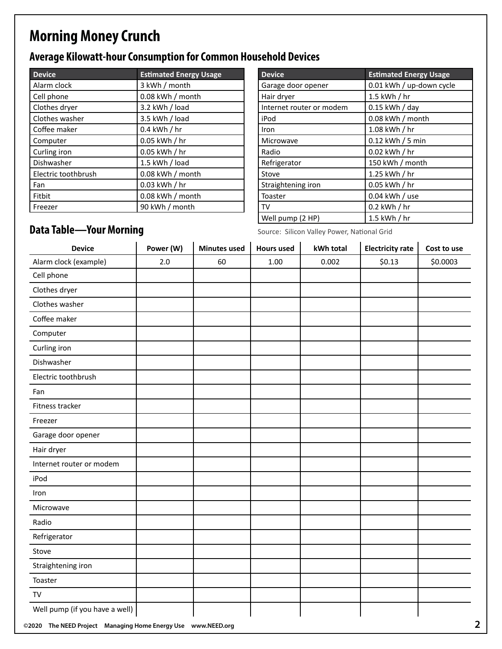## **Morning Money Crunch**

### **Average Kilowatt-hour Consumption for Common Household Devices**

| <b>Device</b>       | <b>Estimated Energy Usage</b> |  |  |  |
|---------------------|-------------------------------|--|--|--|
| Alarm clock         | 3 kWh / month                 |  |  |  |
| Cell phone          | 0.08 kWh / month              |  |  |  |
| Clothes dryer       | 3.2 kWh / load                |  |  |  |
| Clothes washer      | 3.5 kWh / load                |  |  |  |
| Coffee maker        | $0.4$ kWh $/$ hr              |  |  |  |
| Computer            | 0.05 kWh / hr                 |  |  |  |
| Curling iron        | 0.05 kWh / hr                 |  |  |  |
| Dishwasher          | 1.5 kWh / load                |  |  |  |
| Electric toothbrush | 0.08 kWh / month              |  |  |  |
| Fan                 | 0.03 kWh / hr                 |  |  |  |
| Fitbit              | 0.08 kWh / month              |  |  |  |
| Freezer             | 90 kWh / month                |  |  |  |

| <b>Device</b>            | <b>Estimated Energy Usage</b> |  |  |  |
|--------------------------|-------------------------------|--|--|--|
| Garage door opener       | 0.01 kWh / up-down cycle      |  |  |  |
| Hair dryer               | $1.5$ kWh $/$ hr              |  |  |  |
| Internet router or modem | 0.15 kWh / day                |  |  |  |
| iPod                     | 0.08 kWh / month              |  |  |  |
| Iron                     | $1.08$ kWh $/$ hr             |  |  |  |
| Microwave                | 0.12 kWh / 5 min              |  |  |  |
| Radio                    | $0.02$ kWh $/$ hr             |  |  |  |
| Refrigerator             | 150 kWh / month               |  |  |  |
| Stove                    | 1.25 kWh / hr                 |  |  |  |
| Straightening iron       | $0.05$ kWh $/$ hr             |  |  |  |
| Toaster                  | 0.04 kWh / use                |  |  |  |
| TV                       | $0.2$ kWh $/$ hr              |  |  |  |
| Well pump (2 HP)         | $1.5$ kWh $/$ hr              |  |  |  |

# **Data Table—Your Morning**<br>Source: Silicon Valley Power, National Grid

| <b>Device</b>            | Power (W) | <b>Minutes used</b> | <b>Hours used</b> | kWh total | <b>Electricity rate</b> | Cost to use |
|--------------------------|-----------|---------------------|-------------------|-----------|-------------------------|-------------|
| Alarm clock (example)    | 2.0       | 60                  | 1.00              | 0.002     | \$0.13                  | \$0.0003    |
| Cell phone               |           |                     |                   |           |                         |             |
| Clothes dryer            |           |                     |                   |           |                         |             |
| Clothes washer           |           |                     |                   |           |                         |             |
| Coffee maker             |           |                     |                   |           |                         |             |
| Computer                 |           |                     |                   |           |                         |             |
| Curling iron             |           |                     |                   |           |                         |             |
| Dishwasher               |           |                     |                   |           |                         |             |
| Electric toothbrush      |           |                     |                   |           |                         |             |
| Fan                      |           |                     |                   |           |                         |             |
| Fitness tracker          |           |                     |                   |           |                         |             |
| Freezer                  |           |                     |                   |           |                         |             |
| Garage door opener       |           |                     |                   |           |                         |             |
| Hair dryer               |           |                     |                   |           |                         |             |
| Internet router or modem |           |                     |                   |           |                         |             |
| iPod                     |           |                     |                   |           |                         |             |
| Iron                     |           |                     |                   |           |                         |             |
| Microwave                |           |                     |                   |           |                         |             |
| Radio                    |           |                     |                   |           |                         |             |
| Refrigerator             |           |                     |                   |           |                         |             |
| Stove                    |           |                     |                   |           |                         |             |
| Straightening iron       |           |                     |                   |           |                         |             |
| Toaster                  |           |                     |                   |           |                         |             |
| TV                       |           |                     |                   |           |                         |             |